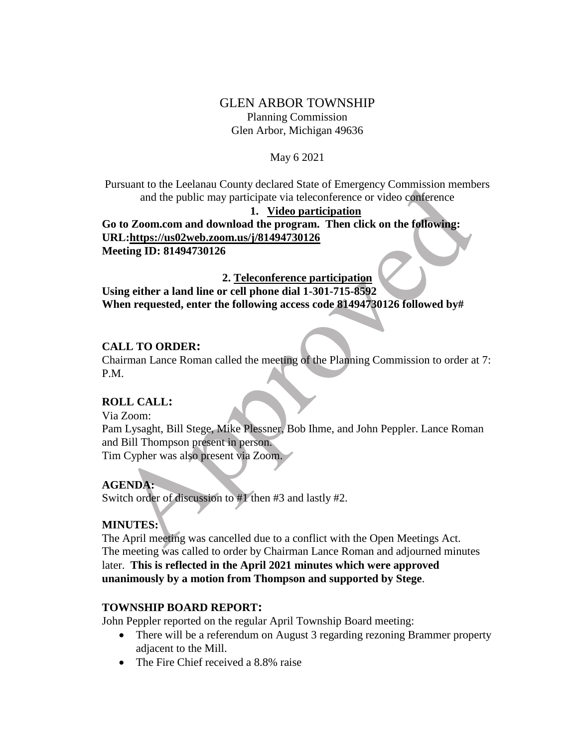# GLEN ARBOR TOWNSHIP Planning Commission Glen Arbor, Michigan 49636

#### May 6 2021

Pursuant to the Leelanau County declared State of Emergency Commission members and the public may participate via teleconference or video conference

#### **1. Video participation**

**Go to Zoom.com and download the program. Then click on the following: URL:https://us02web.zoom.us/j/81494730126 Meeting ID: 81494730126**

## **2. Teleconference participation**

**Using either a land line or cell phone dial 1-301-715-8592 When requested, enter the following access code 81494730126 followed by#**

### **CALL TO ORDER:**

Chairman Lance Roman called the meeting of the Planning Commission to order at 7: P.M.

## **ROLL CALL:**

Via Zoom:

Pam Lysaght, Bill Stege, Mike Plessner, Bob Ihme, and John Peppler. Lance Roman and Bill Thompson present in person. Tim Cypher was also present via Zoom.

## **AGENDA:**

Switch order of discussion to #1 then #3 and lastly #2.

## **MINUTES:**

The April meeting was cancelled due to a conflict with the Open Meetings Act. The meeting was called to order by Chairman Lance Roman and adjourned minutes later. **This is reflected in the April 2021 minutes which were approved unanimously by a motion from Thompson and supported by Stege**.

## **TOWNSHIP BOARD REPORT:**

John Peppler reported on the regular April Township Board meeting:

- There will be a referendum on August 3 regarding rezoning Brammer property adjacent to the Mill.
- The Fire Chief received a 8.8% raise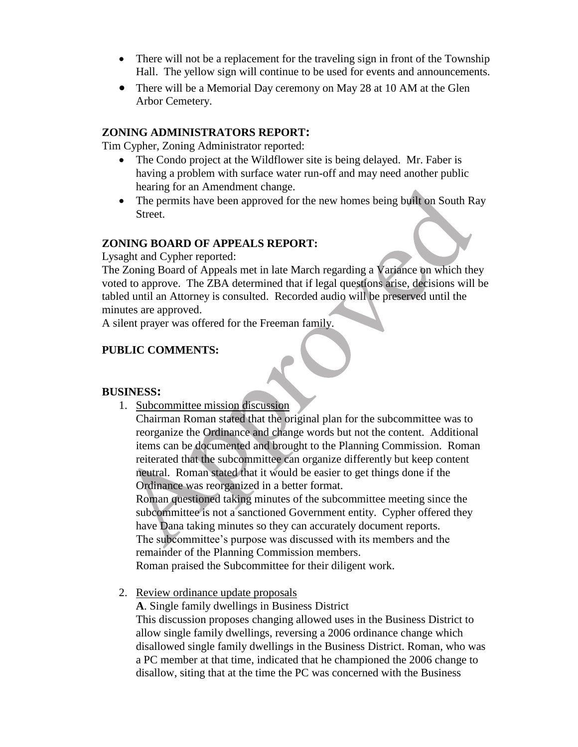- There will not be a replacement for the traveling sign in front of the Township Hall. The yellow sign will continue to be used for events and announcements.
- There will be a Memorial Day ceremony on May 28 at 10 AM at the Glen Arbor Cemetery.

### **ZONING ADMINISTRATORS REPORT:**

Tim Cypher, Zoning Administrator reported:

- The Condo project at the Wildflower site is being delayed. Mr. Faber is having a problem with surface water run-off and may need another public hearing for an Amendment change.
- The permits have been approved for the new homes being built on South Ray Street.

#### **ZONING BOARD OF APPEALS REPORT:**

Lysaght and Cypher reported:

The Zoning Board of Appeals met in late March regarding a Variance on which they voted to approve. The ZBA determined that if legal questions arise, decisions will be tabled until an Attorney is consulted. Recorded audio will be preserved until the minutes are approved.

A silent prayer was offered for the Freeman family.

### **PUBLIC COMMENTS:**

#### **BUSINESS:**

1. Subcommittee mission discussion

Chairman Roman stated that the original plan for the subcommittee was to reorganize the Ordinance and change words but not the content. Additional items can be documented and brought to the Planning Commission. Roman reiterated that the subcommittee can organize differently but keep content neutral. Roman stated that it would be easier to get things done if the Ordinance was reorganized in a better format.

Roman questioned taking minutes of the subcommittee meeting since the subcommittee is not a sanctioned Government entity. Cypher offered they have Dana taking minutes so they can accurately document reports. The subcommittee's purpose was discussed with its members and the remainder of the Planning Commission members.

Roman praised the Subcommittee for their diligent work.

2. Review ordinance update proposals

**A**. Single family dwellings in Business District

This discussion proposes changing allowed uses in the Business District to allow single family dwellings, reversing a 2006 ordinance change which disallowed single family dwellings in the Business District. Roman, who was a PC member at that time, indicated that he championed the 2006 change to disallow, siting that at the time the PC was concerned with the Business